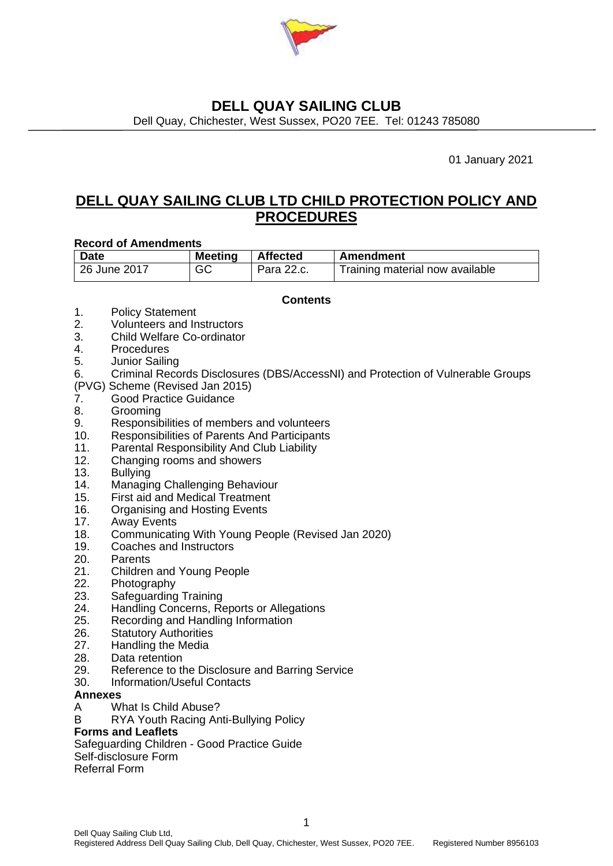

Dell Quay, Chichester, West Sussex, PO20 7EE. Tel: 01243 785080

01 January 2021

# **DELL QUAY SAILING CLUB LTD CHILD PROTECTION POLICY AND PROCEDURES**

#### **Record of Amendments**

| <b>Date</b>  | <b>Meeting</b> | <b>Affected</b> | Amendment                       |
|--------------|----------------|-----------------|---------------------------------|
| 26 June 2017 | GC             | Para 22.c.      | Training material now available |

#### **Contents**

- 1. Policy Statement
- 2. Volunteers and Instructors
- 3. Child Welfare Co-ordinator
- 4. Procedures
- 5. Junior Sailing
- 6. Criminal Records Disclosures (DBS/AccessNI) and Protection of Vulnerable Groups
- (PVG) Scheme (Revised Jan 2015)
- 7. Good Practice Guidance
- 8. Grooming
- 9. Responsibilities of members and volunteers
- 10. Responsibilities of Parents And Participants
- 11. Parental Responsibility And Club Liability
- 12. Changing rooms and showers
- 13. Bullying
- 14. Managing Challenging Behaviour
- 15. First aid and Medical Treatment
- 16. Organising and Hosting Events
- 17. Away Events
- 18. Communicating With Young People (Revised Jan 2020)
- 19. Coaches and Instructors
- 20. Parents
- 21. Children and Young People
- 22. Photography
- 23. Safeguarding Training
- 24. Handling Concerns, Reports or Allegations
- 25. Recording and Handling Information
- 26. Statutory Authorities
- 27. Handling the Media
- 28. Data retention
- 29. Reference to the Disclosure and Barring Service
- 30. Information/Useful Contacts

#### **Annexes**

A What Is Child Abuse?

B RYA Youth Racing Anti-Bullying Policy

#### **Forms and Leaflets**

Safeguarding Children - Good Practice Guide

Self-disclosure Form

Referral Form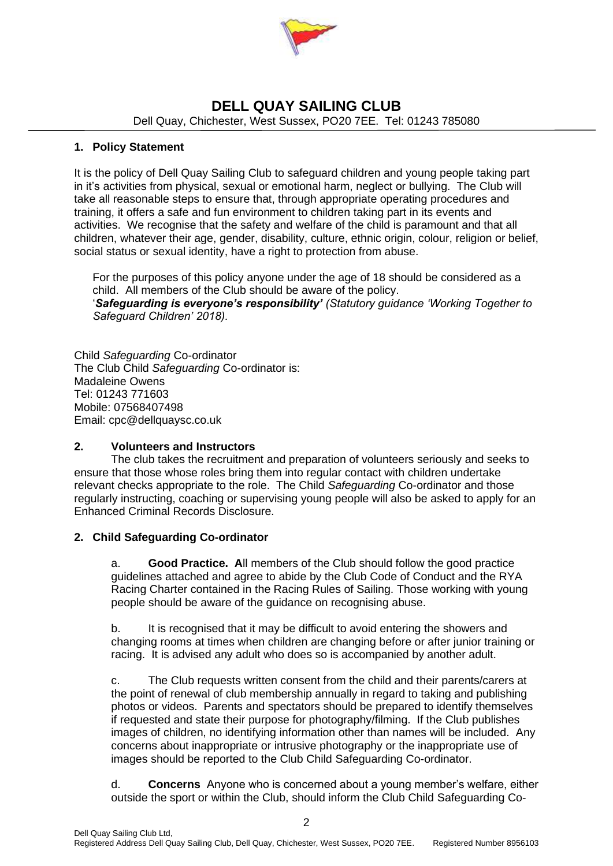

Dell Quay, Chichester, West Sussex, PO20 7EE. Tel: 01243 785080

#### **1. Policy Statement**

It is the policy of Dell Quay Sailing Club to safeguard children and young people taking part in it's activities from physical, sexual or emotional harm, neglect or bullying. The Club will take all reasonable steps to ensure that, through appropriate operating procedures and training, it offers a safe and fun environment to children taking part in its events and activities. We recognise that the safety and welfare of the child is paramount and that all children, whatever their age, gender, disability, culture, ethnic origin, colour, religion or belief, social status or sexual identity, have a right to protection from abuse.

For the purposes of this policy anyone under the age of 18 should be considered as a child. All members of the Club should be aware of the policy. '*Safeguarding is everyone's responsibility' (Statutory guidance 'Working Together to Safeguard Children' 2018).*

Child *Safeguarding* Co-ordinator The Club Child *Safeguarding* Co-ordinator is: Madaleine Owens Tel: 01243 771603 Mobile: 07568407498 Email: cpc@dellquaysc.co.uk

#### **2. Volunteers and Instructors**

The club takes the recruitment and preparation of volunteers seriously and seeks to ensure that those whose roles bring them into regular contact with children undertake relevant checks appropriate to the role. The Child *Safeguarding* Co-ordinator and those regularly instructing, coaching or supervising young people will also be asked to apply for an Enhanced Criminal Records Disclosure.

#### **2. Child Safeguarding Co-ordinator**

a. **Good Practice. A**ll members of the Club should follow the good practice guidelines attached and agree to abide by the Club Code of Conduct and the RYA Racing Charter contained in the Racing Rules of Sailing. Those working with young people should be aware of the guidance on recognising abuse.

b. It is recognised that it may be difficult to avoid entering the showers and changing rooms at times when children are changing before or after junior training or racing. It is advised any adult who does so is accompanied by another adult.

c. The Club requests written consent from the child and their parents/carers at the point of renewal of club membership annually in regard to taking and publishing photos or videos. Parents and spectators should be prepared to identify themselves if requested and state their purpose for photography/filming. If the Club publishes images of children, no identifying information other than names will be included. Any concerns about inappropriate or intrusive photography or the inappropriate use of images should be reported to the Club Child Safeguarding Co-ordinator.

d. **Concerns** Anyone who is concerned about a young member's welfare, either outside the sport or within the Club, should inform the Club Child Safeguarding Co-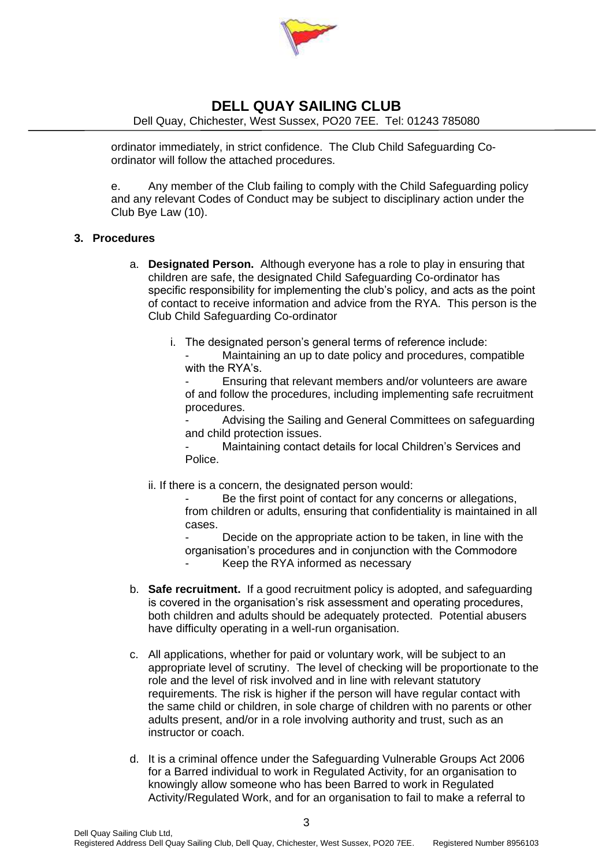

Dell Quay, Chichester, West Sussex, PO20 7EE. Tel: 01243 785080

ordinator immediately, in strict confidence. The Club Child Safeguarding Coordinator will follow the attached procedures.

e. Any member of the Club failing to comply with the Child Safeguarding policy and any relevant Codes of Conduct may be subject to disciplinary action under the Club Bye Law (10).

#### **3. Procedures**

- a. **Designated Person.** Although everyone has a role to play in ensuring that children are safe, the designated Child Safeguarding Co-ordinator has specific responsibility for implementing the club's policy, and acts as the point of contact to receive information and advice from the RYA. This person is the Club Child Safeguarding Co-ordinator
	- i. The designated person's general terms of reference include:

Maintaining an up to date policy and procedures, compatible with the RYA's.

Ensuring that relevant members and/or volunteers are aware of and follow the procedures, including implementing safe recruitment procedures.

Advising the Sailing and General Committees on safeguarding and child protection issues.

Maintaining contact details for local Children's Services and Police.

ii. If there is a concern, the designated person would:

Be the first point of contact for any concerns or allegations, from children or adults, ensuring that confidentiality is maintained in all cases.

Decide on the appropriate action to be taken, in line with the organisation's procedures and in conjunction with the Commodore

Keep the RYA informed as necessary

- b. **Safe recruitment.** If a good recruitment policy is adopted, and safeguarding is covered in the organisation's risk assessment and operating procedures, both children and adults should be adequately protected. Potential abusers have difficulty operating in a well-run organisation.
- c. All applications, whether for paid or voluntary work, will be subject to an appropriate level of scrutiny. The level of checking will be proportionate to the role and the level of risk involved and in line with relevant statutory requirements. The risk is higher if the person will have regular contact with the same child or children, in sole charge of children with no parents or other adults present, and/or in a role involving authority and trust, such as an instructor or coach.
- d. It is a criminal offence under the Safeguarding Vulnerable Groups Act 2006 for a Barred individual to work in Regulated Activity, for an organisation to knowingly allow someone who has been Barred to work in Regulated Activity/Regulated Work, and for an organisation to fail to make a referral to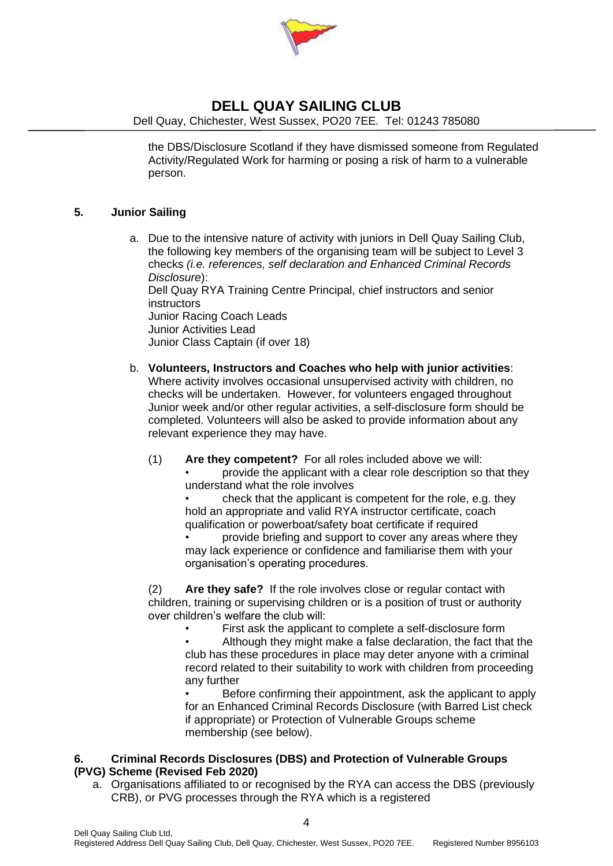

Dell Quay, Chichester, West Sussex, PO20 7EE. Tel: 01243 785080

the DBS/Disclosure Scotland if they have dismissed someone from Regulated Activity/Regulated Work for harming or posing a risk of harm to a vulnerable person.

#### **5. Junior Sailing**

a. Due to the intensive nature of activity with juniors in Dell Quay Sailing Club, the following key members of the organising team will be subject to Level 3 checks *(i.e. references, self declaration and Enhanced Criminal Records Disclosure*):

Dell Quay RYA Training Centre Principal, chief instructors and senior **instructors** 

Junior Racing Coach Leads Junior Activities Lead

Junior Class Captain (if over 18)

- b. **Volunteers, Instructors and Coaches who help with junior activities**: Where activity involves occasional unsupervised activity with children, no checks will be undertaken. However, for volunteers engaged throughout Junior week and/or other regular activities, a self-disclosure form should be completed. Volunteers will also be asked to provide information about any relevant experience they may have.
	- (1) **Are they competent?** For all roles included above we will:
		- provide the applicant with a clear role description so that they understand what the role involves

• check that the applicant is competent for the role, e.g. they hold an appropriate and valid RYA instructor certificate, coach qualification or powerboat/safety boat certificate if required

• provide briefing and support to cover any areas where they may lack experience or confidence and familiarise them with your organisation's operating procedures.

(2) **Are they safe?** If the role involves close or regular contact with children, training or supervising children or is a position of trust or authority over children's welfare the club will:

First ask the applicant to complete a self-disclosure form

• Although they might make a false declaration, the fact that the club has these procedures in place may deter anyone with a criminal record related to their suitability to work with children from proceeding any further

• Before confirming their appointment, ask the applicant to apply for an Enhanced Criminal Records Disclosure (with Barred List check if appropriate) or Protection of Vulnerable Groups scheme membership (see below).

#### **6. Criminal Records Disclosures (DBS) and Protection of Vulnerable Groups (PVG) Scheme (Revised Feb 2020)**

a. Organisations affiliated to or recognised by the RYA can access the DBS (previously CRB), or PVG processes through the RYA which is a registered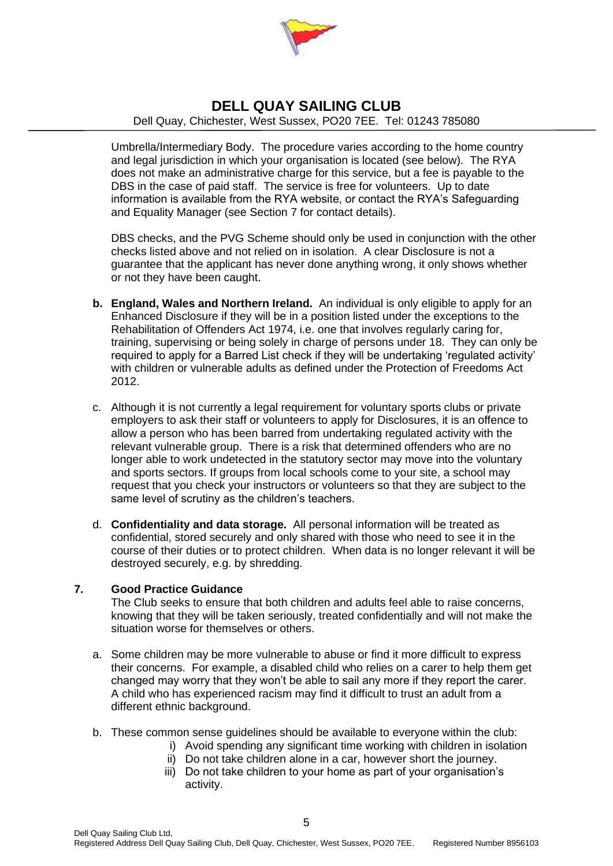

Dell Quay, Chichester, West Sussex, PO20 7EE. Tel: 01243 785080

Umbrella/Intermediary Body. The procedure varies according to the home country and legal jurisdiction in which your organisation is located (see below). The RYA does not make an administrative charge for this service, but a fee is payable to the DBS in the case of paid staff. The service is free for volunteers. Up to date information is available from the RYA website, or contact the RYA's Safeguarding and Equality Manager (see Section 7 for contact details).

DBS checks, and the PVG Scheme should only be used in conjunction with the other checks listed above and not relied on in isolation. A clear Disclosure is not a guarantee that the applicant has never done anything wrong, it only shows whether or not they have been caught.

- **b. England, Wales and Northern Ireland.** An individual is only eligible to apply for an Enhanced Disclosure if they will be in a position listed under the exceptions to the Rehabilitation of Offenders Act 1974, i.e. one that involves regularly caring for, training, supervising or being solely in charge of persons under 18. They can only be required to apply for a Barred List check if they will be undertaking 'regulated activity' with children or vulnerable adults as defined under the Protection of Freedoms Act 2012.
- c. Although it is not currently a legal requirement for voluntary sports clubs or private employers to ask their staff or volunteers to apply for Disclosures, it is an offence to allow a person who has been barred from undertaking regulated activity with the relevant vulnerable group. There is a risk that determined offenders who are no longer able to work undetected in the statutory sector may move into the voluntary and sports sectors. If groups from local schools come to your site, a school may request that you check your instructors or volunteers so that they are subject to the same level of scrutiny as the children's teachers.
- d. **Confidentiality and data storage.** All personal information will be treated as confidential, stored securely and only shared with those who need to see it in the course of their duties or to protect children. When data is no longer relevant it will be destroyed securely, e.g. by shredding.

#### **7. Good Practice Guidance**

The Club seeks to ensure that both children and adults feel able to raise concerns, knowing that they will be taken seriously, treated confidentially and will not make the situation worse for themselves or others.

- a. Some children may be more vulnerable to abuse or find it more difficult to express their concerns. For example, a disabled child who relies on a carer to help them get changed may worry that they won't be able to sail any more if they report the carer. A child who has experienced racism may find it difficult to trust an adult from a different ethnic background.
- b. These common sense guidelines should be available to everyone within the club:
	- i) Avoid spending any significant time working with children in isolation
	- ii) Do not take children alone in a car, however short the journey.
	- iii) Do not take children to your home as part of your organisation's activity.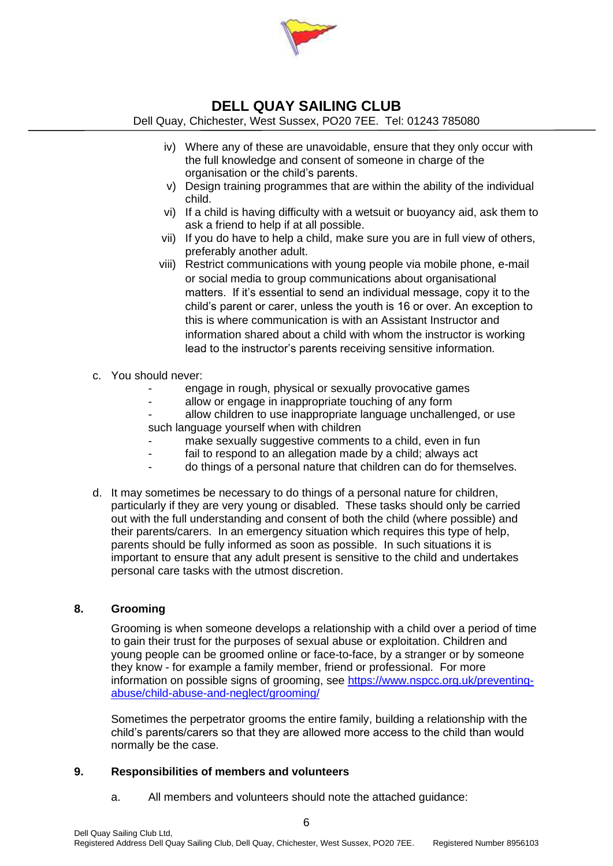

Dell Quay, Chichester, West Sussex, PO20 7EE. Tel: 01243 785080

- iv) Where any of these are unavoidable, ensure that they only occur with the full knowledge and consent of someone in charge of the organisation or the child's parents.
- v) Design training programmes that are within the ability of the individual child.
- vi) If a child is having difficulty with a wetsuit or buoyancy aid, ask them to ask a friend to help if at all possible.
- vii) If you do have to help a child, make sure you are in full view of others, preferably another adult.
- viii) Restrict communications with young people via mobile phone, e-mail or social media to group communications about organisational matters. If it's essential to send an individual message, copy it to the child's parent or carer, unless the youth is 16 or over. An exception to this is where communication is with an Assistant Instructor and information shared about a child with whom the instructor is working lead to the instructor's parents receiving sensitive information.
- c. You should never:
	- engage in rough, physical or sexually provocative games
	- allow or engage in inappropriate touching of any form
	- allow children to use inappropriate language unchallenged, or use such language yourself when with children
	- make sexually suggestive comments to a child, even in fun
	- fail to respond to an allegation made by a child; always act
	- do things of a personal nature that children can do for themselves.
- d. It may sometimes be necessary to do things of a personal nature for children, particularly if they are very young or disabled. These tasks should only be carried out with the full understanding and consent of both the child (where possible) and their parents/carers. In an emergency situation which requires this type of help, parents should be fully informed as soon as possible. In such situations it is important to ensure that any adult present is sensitive to the child and undertakes personal care tasks with the utmost discretion.

#### **8. Grooming**

Grooming is when someone develops a relationship with a child over a period of time to gain their trust for the purposes of sexual abuse or exploitation. Children and young people can be groomed online or face-to-face, by a stranger or by someone they know - for example a family member, friend or professional. For more information on possible signs of grooming, see [https://www.nspcc.org.uk/preventing](https://www.nspcc.org.uk/preventing-abuse/child-abuse-and-neglect/grooming/)[abuse/child-abuse-and-neglect/grooming/](https://www.nspcc.org.uk/preventing-abuse/child-abuse-and-neglect/grooming/) 

Sometimes the perpetrator grooms the entire family, building a relationship with the child's parents/carers so that they are allowed more access to the child than would normally be the case.

#### **9. Responsibilities of members and volunteers**

a. All members and volunteers should note the attached guidance: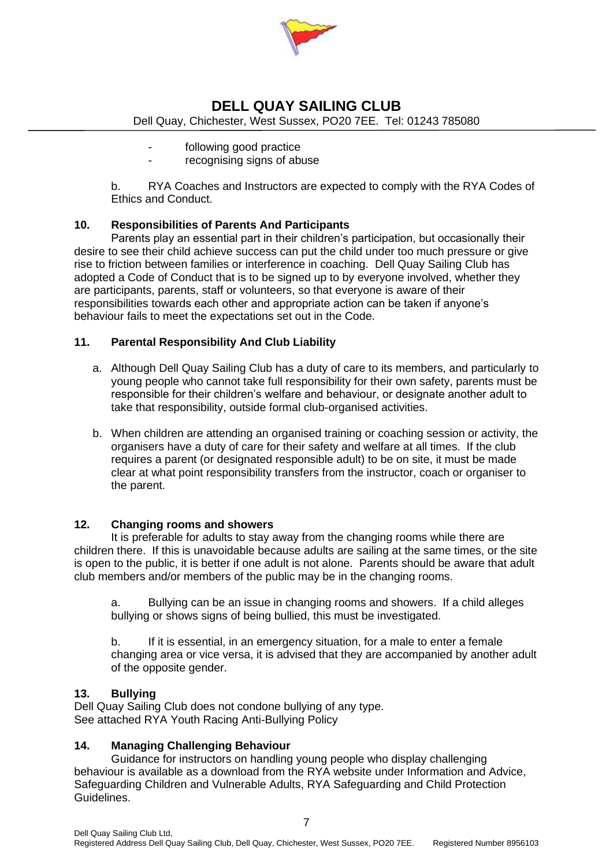

Dell Quay, Chichester, West Sussex, PO20 7EE. Tel: 01243 785080

- following good practice
	- recognising signs of abuse

b. RYA Coaches and Instructors are expected to comply with the RYA Codes of Ethics and Conduct.

#### **10. Responsibilities of Parents And Participants**

Parents play an essential part in their children's participation, but occasionally their desire to see their child achieve success can put the child under too much pressure or give rise to friction between families or interference in coaching. Dell Quay Sailing Club has adopted a Code of Conduct that is to be signed up to by everyone involved, whether they are participants, parents, staff or volunteers, so that everyone is aware of their responsibilities towards each other and appropriate action can be taken if anyone's behaviour fails to meet the expectations set out in the Code.

#### **11. Parental Responsibility And Club Liability**

- a. Although Dell Quay Sailing Club has a duty of care to its members, and particularly to young people who cannot take full responsibility for their own safety, parents must be responsible for their children's welfare and behaviour, or designate another adult to take that responsibility, outside formal club-organised activities.
- b. When children are attending an organised training or coaching session or activity, the organisers have a duty of care for their safety and welfare at all times. If the club requires a parent (or designated responsible adult) to be on site, it must be made clear at what point responsibility transfers from the instructor, coach or organiser to the parent.

#### **12. Changing rooms and showers**

It is preferable for adults to stay away from the changing rooms while there are children there. If this is unavoidable because adults are sailing at the same times, or the site is open to the public, it is better if one adult is not alone. Parents should be aware that adult club members and/or members of the public may be in the changing rooms.

a. Bullying can be an issue in changing rooms and showers. If a child alleges bullying or shows signs of being bullied, this must be investigated.

b. If it is essential, in an emergency situation, for a male to enter a female changing area or vice versa, it is advised that they are accompanied by another adult of the opposite gender.

#### **13. Bullying**

Dell Quay Sailing Club does not condone bullying of any type. See attached RYA Youth Racing Anti-Bullying Policy

#### **14. Managing Challenging Behaviour**

Guidance for instructors on handling young people who display challenging behaviour is available as a download from the RYA website under Information and Advice, Safeguarding Children and Vulnerable Adults, RYA Safeguarding and Child Protection Guidelines.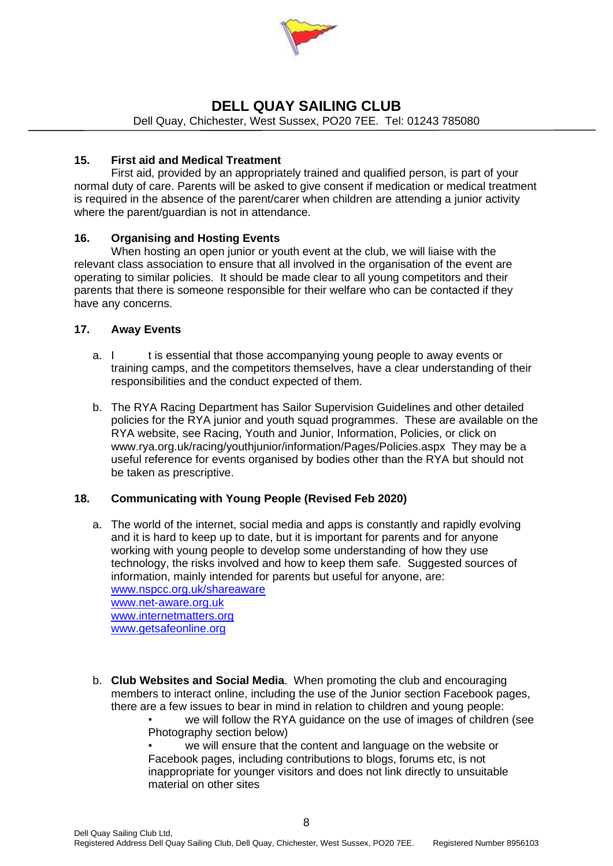

Dell Quay, Chichester, West Sussex, PO20 7EE. Tel: 01243 785080

#### **15. First aid and Medical Treatment**

First aid, provided by an appropriately trained and qualified person, is part of your normal duty of care. Parents will be asked to give consent if medication or medical treatment is required in the absence of the parent/carer when children are attending a junior activity where the parent/guardian is not in attendance.

#### **16. Organising and Hosting Events**

When hosting an open junior or youth event at the club, we will liaise with the relevant class association to ensure that all involved in the organisation of the event are operating to similar policies. It should be made clear to all young competitors and their parents that there is someone responsible for their welfare who can be contacted if they have any concerns.

#### **17. Away Events**

- a. I t is essential that those accompanying young people to away events or training camps, and the competitors themselves, have a clear understanding of their responsibilities and the conduct expected of them.
- b. The RYA Racing Department has Sailor Supervision Guidelines and other detailed policies for the RYA junior and youth squad programmes. These are available on the RYA website, see Racing, Youth and Junior, Information, Policies, or click on www.rya.org.uk/racing/youthjunior/information/Pages/Policies.aspx They may be a useful reference for events organised by bodies other than the RYA but should not be taken as prescriptive.

#### **18. Communicating with Young People (Revised Feb 2020)**

a. The world of the internet, social media and apps is constantly and rapidly evolving and it is hard to keep up to date, but it is important for parents and for anyone working with young people to develop some understanding of how they use technology, the risks involved and how to keep them safe. Suggested sources of information, mainly intended for parents but useful for anyone, are: [www.nspcc.org.uk/shareaware](http://www.nspcc.org.uk/shareaware) [www.net-aware.org.uk](http://www.net-aware.org.uk/) [www.internetmatters.org](http://www.internetmatters.org/)

[www.getsafeonline.org](http://www.getsafeonline.org/)

b. **Club Websites and Social Media**. When promoting the club and encouraging members to interact online, including the use of the Junior section Facebook pages, there are a few issues to bear in mind in relation to children and young people:

• we will follow the RYA guidance on the use of images of children (see Photography section below)

we will ensure that the content and language on the website or Facebook pages, including contributions to blogs, forums etc, is not inappropriate for younger visitors and does not link directly to unsuitable material on other sites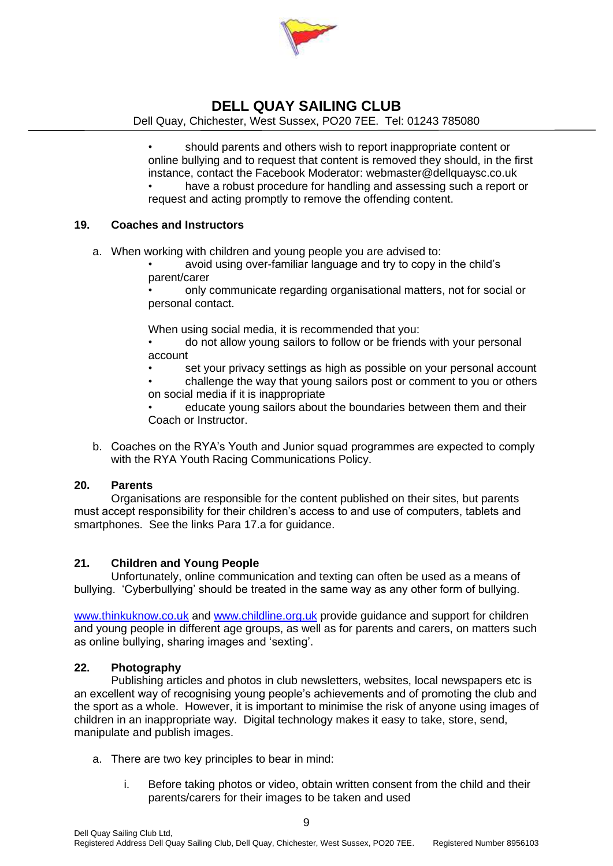

Dell Quay, Chichester, West Sussex, PO20 7EE. Tel: 01243 785080

• should parents and others wish to report inappropriate content or online bullying and to request that content is removed they should, in the first instance, contact the Facebook Moderator: webmaster@dellquaysc.co.uk have a robust procedure for handling and assessing such a report or request and acting promptly to remove the offending content.

#### **19. Coaches and Instructors**

- a. When working with children and young people you are advised to:
	- avoid using over-familiar language and try to copy in the child's parent/carer

• only communicate regarding organisational matters, not for social or personal contact.

When using social media, it is recommended that you:

• do not allow young sailors to follow or be friends with your personal account

set your privacy settings as high as possible on your personal account • challenge the way that young sailors post or comment to you or others

on social media if it is inappropriate

• educate young sailors about the boundaries between them and their Coach or Instructor.

b. Coaches on the RYA's Youth and Junior squad programmes are expected to comply with the RYA Youth Racing Communications Policy.

#### **20. Parents**

Organisations are responsible for the content published on their sites, but parents must accept responsibility for their children's access to and use of computers, tablets and smartphones. See the links Para 17.a for guidance.

#### **21. Children and Young People**

Unfortunately, online communication and texting can often be used as a means of bullying. 'Cyberbullying' should be treated in the same way as any other form of bullying.

[www.thinkuknow.co.uk](http://www.thinkuknow.co.uk/) and [www.childline.org.uk](http://www.childline.org.uk/) provide guidance and support for children and young people in different age groups, as well as for parents and carers, on matters such as online bullying, sharing images and 'sexting'.

#### **22. Photography**

Publishing articles and photos in club newsletters, websites, local newspapers etc is an excellent way of recognising young people's achievements and of promoting the club and the sport as a whole. However, it is important to minimise the risk of anyone using images of children in an inappropriate way. Digital technology makes it easy to take, store, send, manipulate and publish images.

- a. There are two key principles to bear in mind:
	- i. Before taking photos or video, obtain written consent from the child and their parents/carers for their images to be taken and used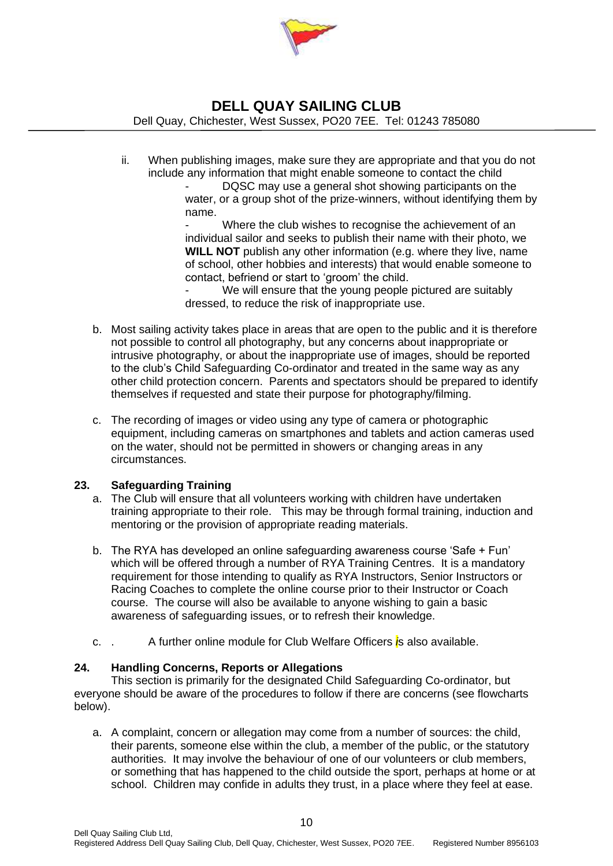

Dell Quay, Chichester, West Sussex, PO20 7EE. Tel: 01243 785080

ii. When publishing images, make sure they are appropriate and that you do not include any information that might enable someone to contact the child

DQSC may use a general shot showing participants on the water, or a group shot of the prize-winners, without identifying them by name.

Where the club wishes to recognise the achievement of an individual sailor and seeks to publish their name with their photo, we **WILL NOT** publish any other information (e.g. where they live, name of school, other hobbies and interests) that would enable someone to contact, befriend or start to 'groom' the child.

We will ensure that the young people pictured are suitably dressed, to reduce the risk of inappropriate use.

- b. Most sailing activity takes place in areas that are open to the public and it is therefore not possible to control all photography, but any concerns about inappropriate or intrusive photography, or about the inappropriate use of images, should be reported to the club's Child Safeguarding Co-ordinator and treated in the same way as any other child protection concern. Parents and spectators should be prepared to identify themselves if requested and state their purpose for photography/filming.
- c. The recording of images or video using any type of camera or photographic equipment, including cameras on smartphones and tablets and action cameras used on the water, should not be permitted in showers or changing areas in any circumstances.

#### **23. Safeguarding Training**

- a. The Club will ensure that all volunteers working with children have undertaken training appropriate to their role. This may be through formal training, induction and mentoring or the provision of appropriate reading materials.
- b. The RYA has developed an online safeguarding awareness course 'Safe + Fun' which will be offered through a number of RYA Training Centres. It is a mandatory requirement for those intending to qualify as RYA Instructors, Senior Instructors or Racing Coaches to complete the online course prior to their Instructor or Coach course. The course will also be available to anyone wishing to gain a basic awareness of safeguarding issues, or to refresh their knowledge.
- c. . A further online module for Club Welfare Officers *i*s also available.

#### **24. Handling Concerns, Reports or Allegations**

This section is primarily for the designated Child Safeguarding Co-ordinator, but everyone should be aware of the procedures to follow if there are concerns (see flowcharts below).

a. A complaint, concern or allegation may come from a number of sources: the child, their parents, someone else within the club, a member of the public, or the statutory authorities. It may involve the behaviour of one of our volunteers or club members, or something that has happened to the child outside the sport, perhaps at home or at school. Children may confide in adults they trust, in a place where they feel at ease.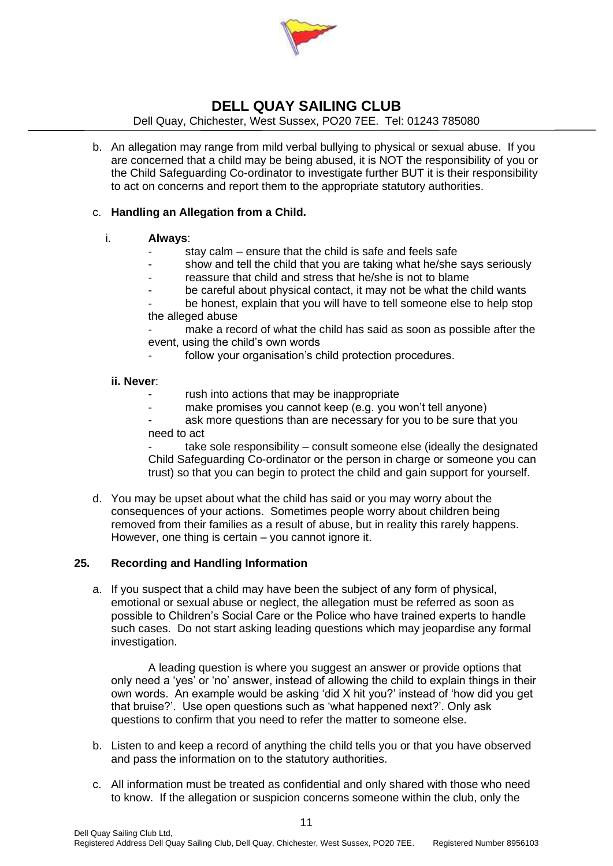

Dell Quay, Chichester, West Sussex, PO20 7EE. Tel: 01243 785080

b. An allegation may range from mild verbal bullying to physical or sexual abuse. If you are concerned that a child may be being abused, it is NOT the responsibility of you or the Child Safeguarding Co-ordinator to investigate further BUT it is their responsibility to act on concerns and report them to the appropriate statutory authorities.

#### c. **Handling an Allegation from a Child.**

#### i. **Always**:

- stay calm  $-$  ensure that the child is safe and feels safe
- show and tell the child that you are taking what he/she says seriously
- reassure that child and stress that he/she is not to blame
- be careful about physical contact, it may not be what the child wants
- be honest, explain that you will have to tell someone else to help stop the alleged abuse
- make a record of what the child has said as soon as possible after the event, using the child's own words
	- follow your organisation's child protection procedures.

#### **ii. Never**:

- rush into actions that may be inappropriate
- make promises you cannot keep (e.g. you won't tell anyone)
- ask more questions than are necessary for you to be sure that you need to act

take sole responsibility – consult someone else (ideally the designated Child Safeguarding Co-ordinator or the person in charge or someone you can trust) so that you can begin to protect the child and gain support for yourself.

d. You may be upset about what the child has said or you may worry about the consequences of your actions. Sometimes people worry about children being removed from their families as a result of abuse, but in reality this rarely happens. However, one thing is certain – you cannot ignore it.

#### **25. Recording and Handling Information**

a. If you suspect that a child may have been the subject of any form of physical, emotional or sexual abuse or neglect, the allegation must be referred as soon as possible to Children's Social Care or the Police who have trained experts to handle such cases. Do not start asking leading questions which may jeopardise any formal investigation.

A leading question is where you suggest an answer or provide options that only need a 'yes' or 'no' answer, instead of allowing the child to explain things in their own words. An example would be asking 'did X hit you?' instead of 'how did you get that bruise?'. Use open questions such as 'what happened next?'. Only ask questions to confirm that you need to refer the matter to someone else.

- b. Listen to and keep a record of anything the child tells you or that you have observed and pass the information on to the statutory authorities.
- c. All information must be treated as confidential and only shared with those who need to know. If the allegation or suspicion concerns someone within the club, only the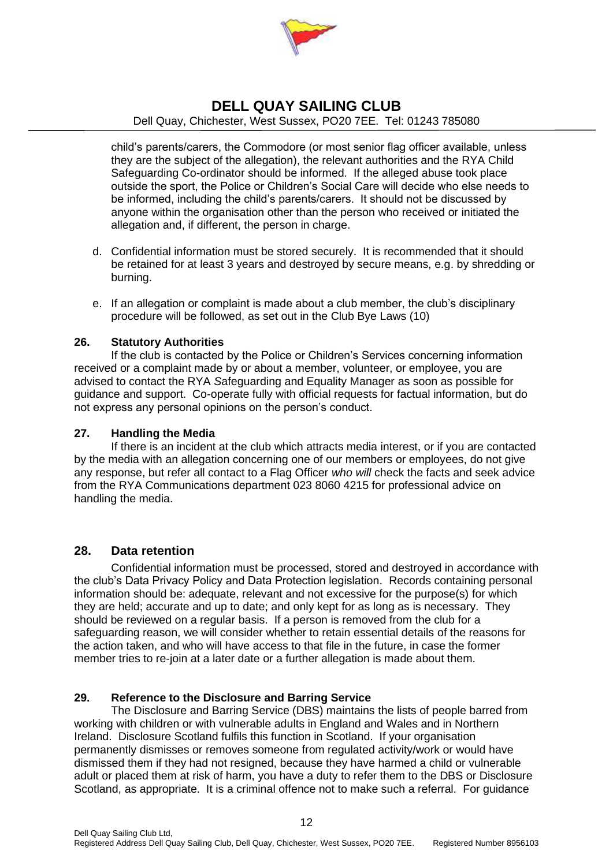

Dell Quay, Chichester, West Sussex, PO20 7EE. Tel: 01243 785080

child's parents/carers, the Commodore (or most senior flag officer available, unless they are the subject of the allegation), the relevant authorities and the RYA Child Safeguarding Co-ordinator should be informed. If the alleged abuse took place outside the sport, the Police or Children's Social Care will decide who else needs to be informed, including the child's parents/carers. It should not be discussed by anyone within the organisation other than the person who received or initiated the allegation and, if different, the person in charge.

- d. Confidential information must be stored securely. It is recommended that it should be retained for at least 3 years and destroyed by secure means, e.g. by shredding or burning.
- e. If an allegation or complaint is made about a club member, the club's disciplinary procedure will be followed, as set out in the Club Bye Laws (10)

#### **26. Statutory Authorities**

If the club is contacted by the Police or Children's Services concerning information received or a complaint made by or about a member, volunteer, or employee, you are advised to contact the RYA *S*afeguarding and Equality Manager as soon as possible for guidance and support. Co-operate fully with official requests for factual information, but do not express any personal opinions on the person's conduct.

#### **27. Handling the Media**

If there is an incident at the club which attracts media interest, or if you are contacted by the media with an allegation concerning one of our members or employees, do not give any response, but refer all contact to a Flag Officer *who will* check the facts and seek advice from the RYA Communications department 023 8060 4215 for professional advice on handling the media.

#### **28. Data retention**

Confidential information must be processed, stored and destroyed in accordance with the club's Data Privacy Policy and Data Protection legislation. Records containing personal information should be: adequate, relevant and not excessive for the purpose(s) for which they are held; accurate and up to date; and only kept for as long as is necessary. They should be reviewed on a regular basis. If a person is removed from the club for a safeguarding reason, we will consider whether to retain essential details of the reasons for the action taken, and who will have access to that file in the future, in case the former member tries to re-join at a later date or a further allegation is made about them.

#### **29. Reference to the Disclosure and Barring Service**

The Disclosure and Barring Service (DBS) maintains the lists of people barred from working with children or with vulnerable adults in England and Wales and in Northern Ireland. Disclosure Scotland fulfils this function in Scotland. If your organisation permanently dismisses or removes someone from regulated activity/work or would have dismissed them if they had not resigned, because they have harmed a child or vulnerable adult or placed them at risk of harm, you have a duty to refer them to the DBS or Disclosure Scotland, as appropriate. It is a criminal offence not to make such a referral. For guidance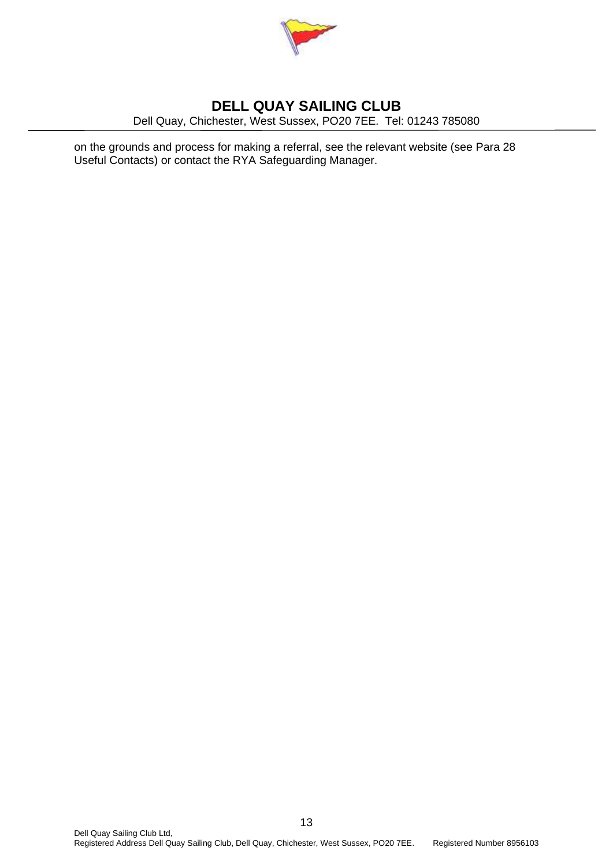

Dell Quay, Chichester, West Sussex, PO20 7EE. Tel: 01243 785080

on the grounds and process for making a referral, see the relevant website (see Para 28 Useful Contacts) or contact the RYA Safeguarding Manager.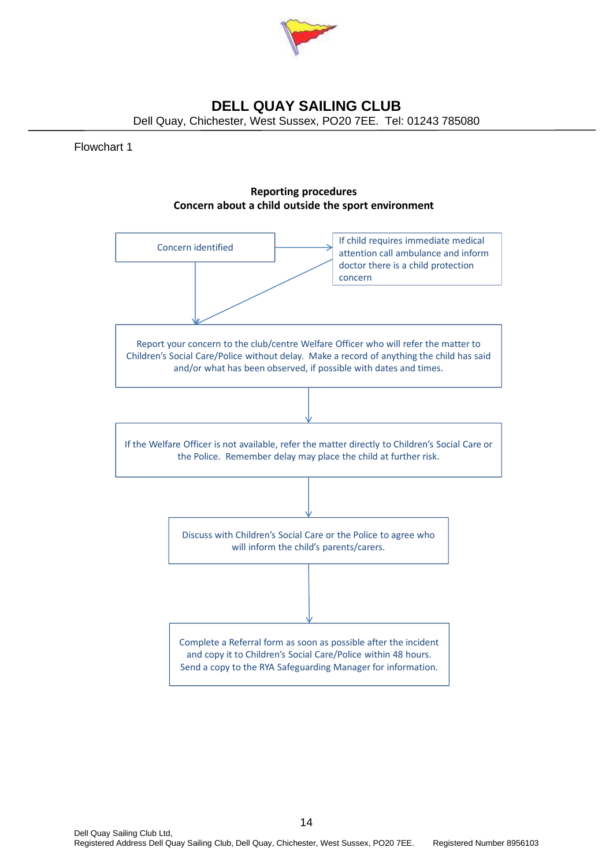

Dell Quay, Chichester, West Sussex, PO20 7EE. Tel: 01243 785080

#### Flowchart 1

#### **Reporting procedures Concern about a child outside the sport environment**

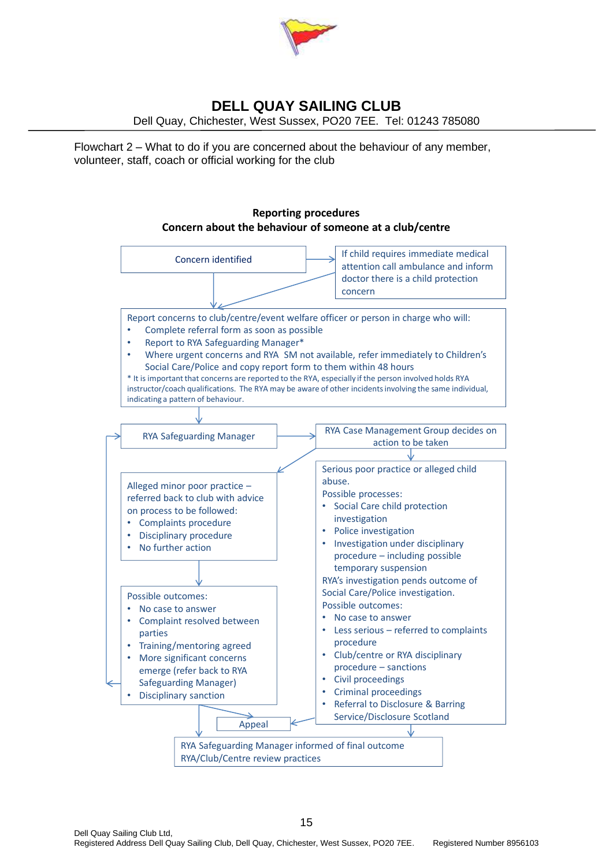

Dell Quay, Chichester, West Sussex, PO20 7EE. Tel: 01243 785080

Flowchart 2 – What to do if you are concerned about the behaviour of any member, volunteer, staff, coach or official working for the club

#### **Reporting procedures Concern about the behaviour of someone at a club/centre**